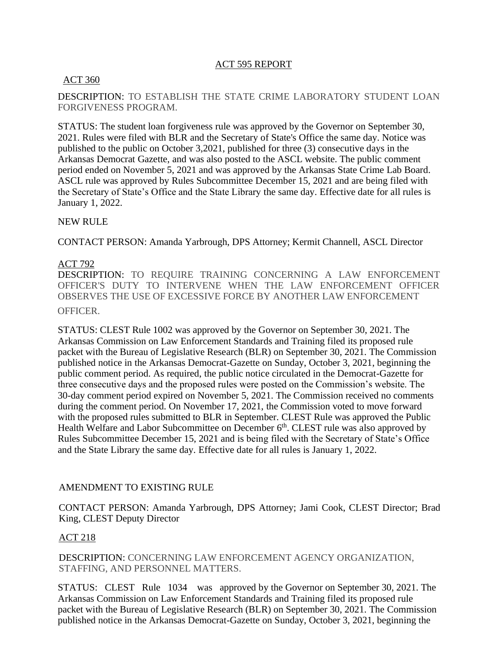## ACT 595 REPORT

## ACT 360

## DESCRIPTION: TO ESTABLISH THE STATE CRIME LABORATORY STUDENT LOAN FORGIVENESS PROGRAM.

STATUS: The student loan forgiveness rule was approved by the Governor on September 30, 2021. Rules were filed with BLR and the Secretary of State's Office the same day. Notice was published to the public on October 3,2021, published for three (3) consecutive days in the Arkansas Democrat Gazette, and was also posted to the ASCL website. The public comment period ended on November 5, 2021 and was approved by the Arkansas State Crime Lab Board. ASCL rule was approved by Rules Subcommittee December 15, 2021 and are being filed with the Secretary of State's Office and the State Library the same day. Effective date for all rules is January 1, 2022.

## NEW RULE

CONTACT PERSON: Amanda Yarbrough, DPS Attorney; Kermit Channell, ASCL Director

### ACT 792

DESCRIPTION: TO REQUIRE TRAINING CONCERNING A LAW ENFORCEMENT OFFICER'S DUTY TO INTERVENE WHEN THE LAW ENFORCEMENT OFFICER OBSERVES THE USE OF EXCESSIVE FORCE BY ANOTHER LAW ENFORCEMENT OFFICER.

STATUS: CLEST Rule 1002 was approved by the Governor on September 30, 2021. The Arkansas Commission on Law Enforcement Standards and Training filed its proposed rule packet with the Bureau of Legislative Research (BLR) on September 30, 2021. The Commission published notice in the Arkansas Democrat-Gazette on Sunday, October 3, 2021, beginning the public comment period. As required, the public notice circulated in the Democrat-Gazette for three consecutive days and the proposed rules were posted on the Commission's website. The 30-day comment period expired on November 5, 2021. The Commission received no comments during the comment period. On November 17, 2021, the Commission voted to move forward with the proposed rules submitted to BLR in September. CLEST Rule was approved the Public Health Welfare and Labor Subcommittee on December 6<sup>th</sup>. CLEST rule was also approved by Rules Subcommittee December 15, 2021 and is being filed with the Secretary of State's Office and the State Library the same day. Effective date for all rules is January 1, 2022.

## AMENDMENT TO EXISTING RULE

CONTACT PERSON: Amanda Yarbrough, DPS Attorney; Jami Cook, CLEST Director; Brad King, CLEST Deputy Director

### ACT 218

DESCRIPTION: CONCERNING LAW ENFORCEMENT AGENCY ORGANIZATION, STAFFING, AND PERSONNEL MATTERS.

STATUS: CLEST Rule 1034 was approved by the Governor on September 30, 2021. The Arkansas Commission on Law Enforcement Standards and Training filed its proposed rule packet with the Bureau of Legislative Research (BLR) on September 30, 2021. The Commission published notice in the Arkansas Democrat-Gazette on Sunday, October 3, 2021, beginning the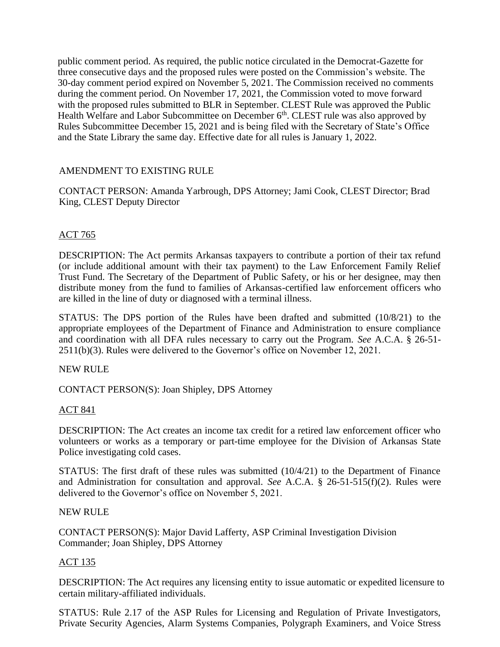public comment period. As required, the public notice circulated in the Democrat-Gazette for three consecutive days and the proposed rules were posted on the Commission's website. The 30-day comment period expired on November 5, 2021. The Commission received no comments during the comment period. On November 17, 2021, the Commission voted to move forward with the proposed rules submitted to BLR in September. CLEST Rule was approved the Public Health Welfare and Labor Subcommittee on December 6<sup>th</sup>. CLEST rule was also approved by Rules Subcommittee December 15, 2021 and is being filed with the Secretary of State's Office and the State Library the same day. Effective date for all rules is January 1, 2022.

# AMENDMENT TO EXISTING RULE

CONTACT PERSON: Amanda Yarbrough, DPS Attorney; Jami Cook, CLEST Director; Brad King, CLEST Deputy Director

## ACT 765

DESCRIPTION: The Act permits Arkansas taxpayers to contribute a portion of their tax refund (or include additional amount with their tax payment) to the Law Enforcement Family Relief Trust Fund. The Secretary of the Department of Public Safety, or his or her designee, may then distribute money from the fund to families of Arkansas-certified law enforcement officers who are killed in the line of duty or diagnosed with a terminal illness.

STATUS: The DPS portion of the Rules have been drafted and submitted (10/8/21) to the appropriate employees of the Department of Finance and Administration to ensure compliance and coordination with all DFA rules necessary to carry out the Program. *See* A.C.A. § 26-51- 2511(b)(3). Rules were delivered to the Governor's office on November 12, 2021.

### NEW RULE

CONTACT PERSON(S): Joan Shipley, DPS Attorney

### ACT 841

DESCRIPTION: The Act creates an income tax credit for a retired law enforcement officer who volunteers or works as a temporary or part-time employee for the Division of Arkansas State Police investigating cold cases.

STATUS: The first draft of these rules was submitted (10/4/21) to the Department of Finance and Administration for consultation and approval. *See* A.C.A. § 26-51-515(f)(2). Rules were delivered to the Governor's office on November 5, 2021.

### NEW RULE

CONTACT PERSON(S): Major David Lafferty, ASP Criminal Investigation Division Commander; Joan Shipley, DPS Attorney

### ACT 135

DESCRIPTION: The Act requires any licensing entity to issue automatic or expedited licensure to certain military-affiliated individuals.

STATUS: Rule 2.17 of the ASP Rules for Licensing and Regulation of Private Investigators, Private Security Agencies, Alarm Systems Companies, Polygraph Examiners, and Voice Stress